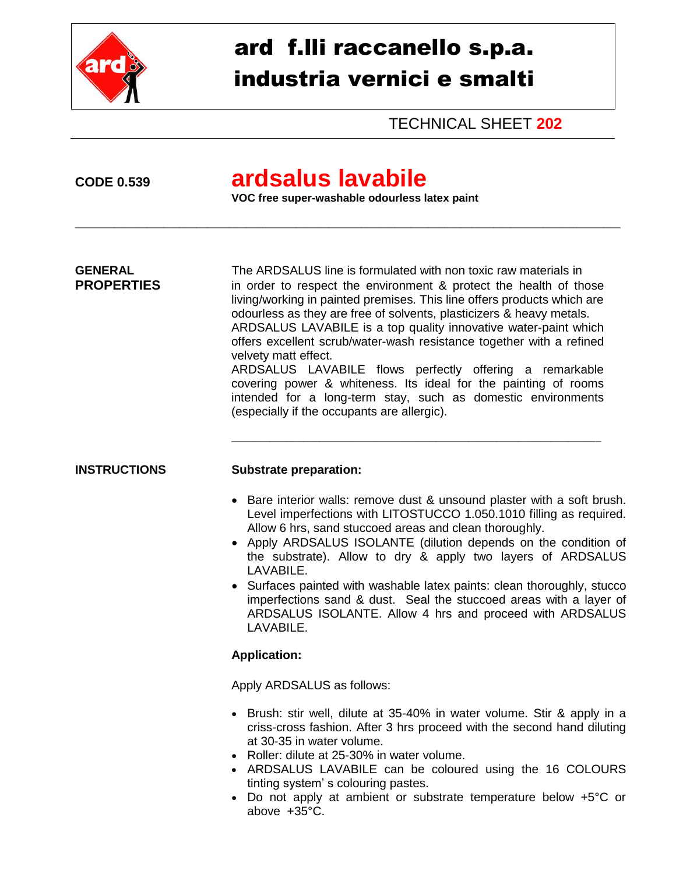

# ard f.lli raccanello s.p.a. industria vernici e smalti

TECHNICAL SHEET **202**

## **CODE 0.539 ardsalus lavabile**

**VOC free super-washable odourless latex paint** 

\_\_\_\_\_\_\_\_\_\_\_\_\_\_\_\_\_\_\_\_\_\_\_\_\_\_\_\_\_\_\_\_\_\_\_\_\_\_\_\_\_\_\_\_\_\_\_\_\_\_\_\_\_\_\_\_\_\_\_\_\_\_\_\_\_\_\_\_\_\_\_\_\_\_\_\_\_\_\_\_\_\_\_\_\_\_\_\_\_\_\_\_\_\_\_\_\_\_\_

**GENERAL** The ARDSALUS line is formulated with non toxic raw materials in **PROPERTIES** in order to respect the environment & protect the health of those living/working in painted premises. This line offers products which are odourless as they are free of solvents, plasticizers & heavy metals. ARDSALUS LAVABILE is a top quality innovative water-paint which offers excellent scrub/water-wash resistance together with a refined velvety matt effect.

ARDSALUS LAVABILE flows perfectly offering a remarkable covering power & whiteness. Its ideal for the painting of rooms intended for a long-term stay, such as domestic environments (especially if the occupants are allergic).

\_\_\_\_\_\_\_\_\_\_\_\_\_\_\_\_\_\_\_\_\_\_\_\_\_\_\_\_\_\_\_\_\_\_\_\_\_\_\_\_\_\_\_\_\_\_\_\_\_\_\_\_\_\_\_\_\_\_\_\_\_\_\_\_\_\_\_

#### **INSTRUCTIONS Substrate preparation:**

- Bare interior walls: remove dust & unsound plaster with a soft brush. Level imperfections with LITOSTUCCO 1.050.1010 filling as required. Allow 6 hrs, sand stuccoed areas and clean thoroughly.
- Apply ARDSALUS ISOLANTE (dilution depends on the condition of the substrate). Allow to dry & apply two layers of ARDSALUS LAVABILE.
- Surfaces painted with washable latex paints: clean thoroughly, stucco imperfections sand & dust. Seal the stuccoed areas with a layer of ARDSALUS ISOLANTE. Allow 4 hrs and proceed with ARDSALUS LAVABILE.

#### **Application:**

Apply ARDSALUS as follows:

- Brush: stir well, dilute at 35-40% in water volume. Stir & apply in a criss-cross fashion. After 3 hrs proceed with the second hand diluting at 30-35 in water volume.
- Roller: dilute at 25-30% in water volume.
- ARDSALUS LAVABILE can be coloured using the 16 COLOURS tinting system' s colouring pastes.
- Do not apply at ambient or substrate temperature below +5°C or above +35°C.